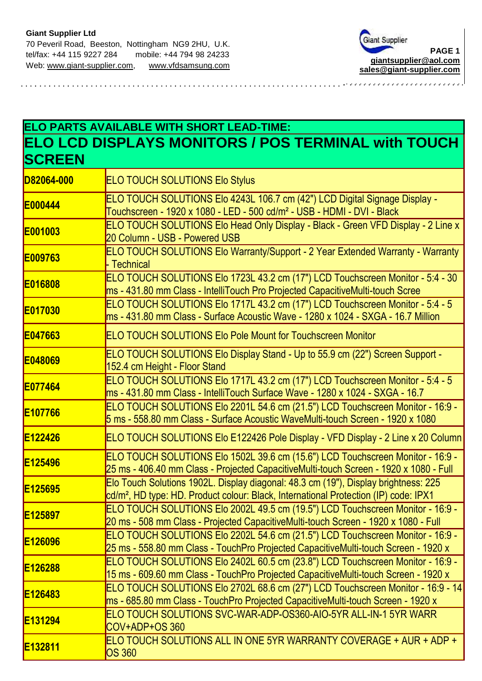

## **ELO PARTS AVAILABLE WITH SHORT LEAD-TIME: ELO LCD DISPLAYS MONITORS / POS TERMINAL with TOUCH SCREEN**

| D82064-000          | <b>ELO TOUCH SOLUTIONS Elo Stylus</b>                                                                                                                                                   |
|---------------------|-----------------------------------------------------------------------------------------------------------------------------------------------------------------------------------------|
| <b>E000444</b>      | ELO TOUCH SOLUTIONS Elo 4243L 106.7 cm (42") LCD Digital Signage Display -<br>Touchscreen - 1920 x 1080 - LED - 500 cd/m <sup>2</sup> - USB - HDMI - DVI - Black                        |
| E001003             | ELO TOUCH SOLUTIONS Elo Head Only Display - Black - Green VFD Display - 2 Line x<br>20 Column - USB - Powered USB                                                                       |
| E009763             | ELO TOUCH SOLUTIONS Elo Warranty/Support - 2 Year Extended Warranty - Warranty<br>- Technical                                                                                           |
| E016808             | ELO TOUCH SOLUTIONS Elo 1723L 43.2 cm (17") LCD Touchscreen Monitor - 5:4 - 30<br>ms - 431.80 mm Class - IntelliTouch Pro Projected CapacitiveMulti-touch Scree                         |
| <b>E017030</b>      | ELO TOUCH SOLUTIONS Elo 1717L 43.2 cm (17") LCD Touchscreen Monitor - 5:4 - 5<br>ms - 431.80 mm Class - Surface Acoustic Wave - 1280 x 1024 - SXGA - 16.7 Million                       |
| E047663             | <b>ELO TOUCH SOLUTIONS Elo Pole Mount for Touchscreen Monitor</b>                                                                                                                       |
| E048069             | ELO TOUCH SOLUTIONS Elo Display Stand - Up to 55.9 cm (22") Screen Support -<br>152.4 cm Height - Floor Stand                                                                           |
| <b>E077464</b>      | ELO TOUCH SOLUTIONS Elo 1717L 43.2 cm (17") LCD Touchscreen Monitor - 5:4 - 5<br>ms - 431.80 mm Class - IntelliTouch Surface Wave - 1280 x 1024 - SXGA - 16.7                           |
| E <sub>107766</sub> | ELO TOUCH SOLUTIONS Elo 2201L 54.6 cm (21.5") LCD Touchscreen Monitor - 16:9 -<br>5 ms - 558.80 mm Class - Surface Acoustic WaveMulti-touch Screen - 1920 x 1080                        |
| E122426             | ELO TOUCH SOLUTIONS Elo E122426 Pole Display - VFD Display - 2 Line x 20 Column                                                                                                         |
| E125496             | ELO TOUCH SOLUTIONS Elo 1502L 39.6 cm (15.6") LCD Touchscreen Monitor - 16:9 -<br>25 ms - 406.40 mm Class - Projected CapacitiveMulti-touch Screen - 1920 x 1080 - Full                 |
| E125695             | Elo Touch Solutions 1902L. Display diagonal: 48.3 cm (19"), Display brightness: 225<br>cd/m <sup>2</sup> , HD type: HD. Product colour: Black, International Protection (IP) code: IPX1 |
| E125897             | ELO TOUCH SOLUTIONS Elo 2002L 49.5 cm (19.5") LCD Touchscreen Monitor - 16:9 -<br>20 ms - 508 mm Class - Projected CapacitiveMulti-touch Screen - 1920 x 1080 - Full                    |
| E126096             | ELO TOUCH SOLUTIONS Elo 2202L 54.6 cm (21.5") LCD Touchscreen Monitor - 16:9 -<br>25 ms - 558.80 mm Class - TouchPro Projected CapacitiveMulti-touch Screen - 1920 x                    |
| E126288             | ELO TOUCH SOLUTIONS Elo 2402L 60.5 cm (23.8") LCD Touchscreen Monitor - 16:9 -<br>15 ms - 609.60 mm Class - TouchPro Projected CapacitiveMulti-touch Screen - 1920 x                    |
| <b>E126483</b>      | ELO TOUCH SOLUTIONS Elo 2702L 68.6 cm (27") LCD Touchscreen Monitor - 16:9 - 14<br>ms - 685.80 mm Class - TouchPro Projected CapacitiveMulti-touch Screen - 1920 x                      |
| <b>E131294</b>      | ELO TOUCH SOLUTIONS SVC-WAR-ADP-OS360-AIO-5YR ALL-IN-1 5YR WARR<br>COV+ADP+OS 360                                                                                                       |
| <b>E132811</b>      | ELO TOUCH SOLUTIONS ALL IN ONE 5YR WARRANTY COVERAGE + AUR + ADP +<br><b>OS 360</b>                                                                                                     |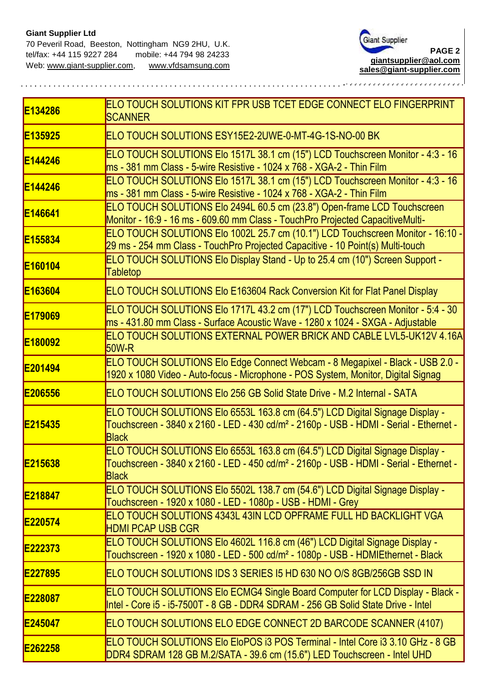

| E <sub>134286</sub> | ELO TOUCH SOLUTIONS KIT FPR USB TCET EDGE CONNECT ELO FINGERPRINT<br><b>SCANNER</b>                                                                                                                |
|---------------------|----------------------------------------------------------------------------------------------------------------------------------------------------------------------------------------------------|
| E <sub>135925</sub> | ELO TOUCH SOLUTIONS ESY15E2-2UWE-0-MT-4G-1S-NO-00 BK                                                                                                                                               |
| <b>E144246</b>      | ELO TOUCH SOLUTIONS Elo 1517L 38.1 cm (15") LCD Touchscreen Monitor - 4:3 - 16<br>ms - 381 mm Class - 5-wire Resistive - 1024 x 768 - XGA-2 - Thin Film                                            |
| E144246             | ELO TOUCH SOLUTIONS Elo 1517L 38.1 cm (15") LCD Touchscreen Monitor - 4:3 - 16<br>ms - 381 mm Class - 5-wire Resistive - 1024 x 768 - XGA-2 - Thin Film                                            |
| E146641             | ELO TOUCH SOLUTIONS Elo 2494L 60.5 cm (23.8") Open-frame LCD Touchscreen<br>Monitor - 16:9 - 16 ms - 609.60 mm Class - TouchPro Projected CapacitiveMulti-                                         |
| <b>E155834</b>      | ELO TOUCH SOLUTIONS Elo 1002L 25.7 cm (10.1") LCD Touchscreen Monitor - 16:10 -<br>29 ms - 254 mm Class - TouchPro Projected Capacitive - 10 Point(s) Multi-touch                                  |
| E <sub>160104</sub> | ELO TOUCH SOLUTIONS Elo Display Stand - Up to 25.4 cm (10") Screen Support -<br><b>Tabletop</b>                                                                                                    |
| E163604             | <b>ELO TOUCH SOLUTIONS EIO E163604 Rack Conversion Kit for Flat Panel Display</b>                                                                                                                  |
| E <sub>179069</sub> | ELO TOUCH SOLUTIONS Elo 1717L 43.2 cm (17") LCD Touchscreen Monitor - 5:4 - 30<br>ms - 431.80 mm Class - Surface Acoustic Wave - 1280 x 1024 - SXGA - Adjustable                                   |
| E <sub>180092</sub> | ELO TOUCH SOLUTIONS EXTERNAL POWER BRICK AND CABLE LVL5-UK12V 4.16A<br>$50W-R$                                                                                                                     |
| E201494             | ELO TOUCH SOLUTIONS Elo Edge Connect Webcam - 8 Megapixel - Black - USB 2.0 -<br>1920 x 1080 Video - Auto-focus - Microphone - POS System, Monitor, Digital Signag                                 |
| E206556             | <b>IELO TOUCH SOLUTIONS Elo 256 GB Solid State Drive - M.2 Internal - SATA</b>                                                                                                                     |
| E215435             | ELO TOUCH SOLUTIONS Elo 6553L 163.8 cm (64.5") LCD Digital Signage Display -<br>Touchscreen - 3840 x 2160 - LED - 430 cd/m <sup>2</sup> - 2160p - USB - HDMI - Serial - Ethernet -<br><b>Black</b> |
| E215638             | ELO TOUCH SOLUTIONS Elo 6553L 163.8 cm (64.5") LCD Digital Signage Display -<br>Touchscreen - 3840 x 2160 - LED - 450 cd/m <sup>2</sup> - 2160p - USB - HDMI - Serial - Ethernet -<br><b>Black</b> |
| E218847             | ELO TOUCH SOLUTIONS Elo 5502L 138.7 cm (54.6") LCD Digital Signage Display -<br>Touchscreen - 1920 x 1080 - LED - 1080p - USB - HDMI - Grey                                                        |
| E220574             | <b>IELO TOUCH SOLUTIONS 4343L 43IN LCD OPFRAME FULL HD BACKLIGHT VGA</b><br><b>HDMI PCAP USB CGR</b>                                                                                               |
| E222373             | ELO TOUCH SOLUTIONS Elo 4602L 116.8 cm (46") LCD Digital Signage Display -<br>Touchscreen - 1920 x 1080 - LED - 500 cd/m <sup>2</sup> - 1080p - USB - HDMIEthernet - Black                         |
| E227895             | ELO TOUCH SOLUTIONS IDS 3 SERIES 15 HD 630 NO O/S 8GB/256GB SSD IN                                                                                                                                 |
| E228087             | <b>ELO TOUCH SOLUTIONS EIO ECMG4 Single Board Computer for LCD Display - Black -</b><br>Intel - Core i5 - i5-7500T - 8 GB - DDR4 SDRAM - 256 GB Solid State Drive - Intel                          |
| <b>E245047</b>      | ELO TOUCH SOLUTIONS ELO EDGE CONNECT 2D BARCODE SCANNER (4107)                                                                                                                                     |
| E262258             | ELO TOUCH SOLUTIONS Elo EloPOS i3 POS Terminal - Intel Core i3 3.10 GHz - 8 GB<br>DDR4 SDRAM 128 GB M.2/SATA - 39.6 cm (15.6") LED Touchscreen - Intel UHD                                         |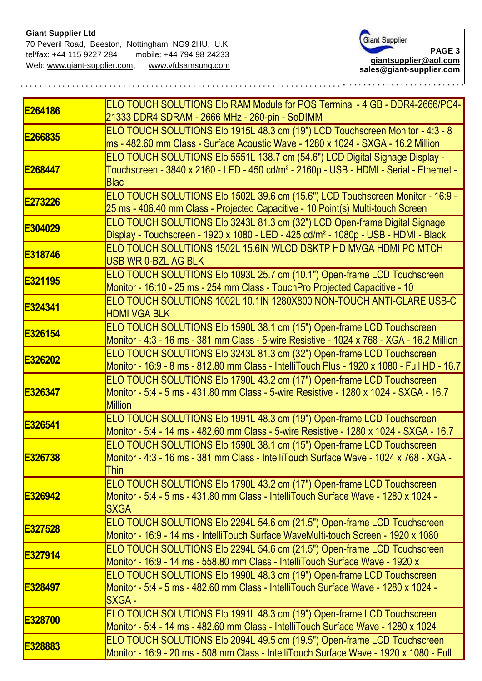## **Giant Supplier Ltd**



| E264186        | ELO TOUCH SOLUTIONS Elo RAM Module for POS Terminal - 4 GB - DDR4-2666/PC4-<br>21333 DDR4 SDRAM - 2666 MHz - 260-pin - SoDIMM                                                                     |
|----------------|---------------------------------------------------------------------------------------------------------------------------------------------------------------------------------------------------|
| E266835        | ELO TOUCH SOLUTIONS Elo 1915L 48.3 cm (19") LCD Touchscreen Monitor - 4:3 - 8<br>ms - 482.60 mm Class - Surface Acoustic Wave - 1280 x 1024 - SXGA - 16.2 Million                                 |
| E268447        | ELO TOUCH SOLUTIONS Elo 5551L 138.7 cm (54.6") LCD Digital Signage Display -<br>Touchscreen - 3840 x 2160 - LED - 450 cd/m <sup>2</sup> - 2160p - USB - HDMI - Serial - Ethernet -<br><b>Blac</b> |
| E273226        | ELO TOUCH SOLUTIONS Elo 1502L 39.6 cm (15.6") LCD Touchscreen Monitor - 16:9 -<br>25 ms - 406.40 mm Class - Projected Capacitive - 10 Point(s) Multi-touch Screen                                 |
| E304029        | ELO TOUCH SOLUTIONS Elo 3243L 81.3 cm (32") LCD Open-frame Digital Signage<br>Display - Touchscreen - 1920 x 1080 - LED - 425 cd/m <sup>2</sup> - 1080p - USB - HDMI - Black                      |
| E318746        | ELO TOUCH SOLUTIONS 1502L 15.6IN WLCD DSKTP HD MVGA HDMI PC MTCH<br>USB WR 0-BZL AG BLK                                                                                                           |
| E321195        | ELO TOUCH SOLUTIONS Elo 1093L 25.7 cm (10.1") Open-frame LCD Touchscreen<br>Monitor - 16:10 - 25 ms - 254 mm Class - TouchPro Projected Capacitive - 10                                           |
| E324341        | ELO TOUCH SOLUTIONS 1002L 10.1IN 1280X800 NON-TOUCH ANTI-GLARE USB-C<br><b>HDMI VGA BLK</b>                                                                                                       |
| E326154        | ELO TOUCH SOLUTIONS Elo 1590L 38.1 cm (15") Open-frame LCD Touchscreen<br>Monitor - 4:3 - 16 ms - 381 mm Class - 5-wire Resistive - 1024 x 768 - XGA - 16.2 Million                               |
| E326202        | ELO TOUCH SOLUTIONS Elo 3243L 81.3 cm (32") Open-frame LCD Touchscreen<br>Monitor - 16:9 - 8 ms - 812.80 mm Class - IntelliTouch Plus - 1920 x 1080 - Full HD - 16.7                              |
| E326347        | ELO TOUCH SOLUTIONS Elo 1790L 43.2 cm (17") Open-frame LCD Touchscreen<br>Monitor - 5:4 - 5 ms - 431.80 mm Class - 5-wire Resistive - 1280 x 1024 - SXGA - 16.7<br><b>Million</b>                 |
| E326541        | ELO TOUCH SOLUTIONS Elo 1991L 48.3 cm (19") Open-frame LCD Touchscreen<br>Monitor - 5:4 - 14 ms - 482.60 mm Class - 5-wire Resistive - 1280 x 1024 - SXGA - 16.7                                  |
| E326738        | ELO TOUCH SOLUTIONS Elo 1590L 38.1 cm (15") Open-frame LCD Touchscreen<br>Monitor - 4:3 - 16 ms - 381 mm Class - IntelliTouch Surface Wave - 1024 x 768 - XGA -<br><b>Thin</b>                    |
| <b>E326942</b> | ELO TOUCH SOLUTIONS Elo 1790L 43.2 cm (17") Open-frame LCD Touchscreen<br>Monitor - 5:4 - 5 ms - 431.80 mm Class - IntelliTouch Surface Wave - 1280 x 1024 -<br><b>SXGA</b>                       |
| E327528        | ELO TOUCH SOLUTIONS Elo 2294L 54.6 cm (21.5") Open-frame LCD Touchscreen<br>Monitor - 16:9 - 14 ms - IntelliTouch Surface WaveMulti-touch Screen - 1920 x 1080                                    |
| E327914        | ELO TOUCH SOLUTIONS Elo 2294L 54.6 cm (21.5") Open-frame LCD Touchscreen<br>Monitor - 16:9 - 14 ms - 558.80 mm Class - IntelliTouch Surface Wave - 1920 x                                         |
| <b>E328497</b> | ELO TOUCH SOLUTIONS Elo 1990L 48.3 cm (19") Open-frame LCD Touchscreen<br>Monitor - 5:4 - 5 ms - 482.60 mm Class - IntelliTouch Surface Wave - 1280 x 1024 -<br><b>SXGA -</b>                     |
| E328700        | ELO TOUCH SOLUTIONS Elo 1991L 48.3 cm (19") Open-frame LCD Touchscreen<br>Monitor - 5:4 - 14 ms - 482.60 mm Class - IntelliTouch Surface Wave - 1280 x 1024                                       |
| E328883        | ELO TOUCH SOLUTIONS Elo 2094L 49.5 cm (19.5") Open-frame LCD Touchscreen<br>Monitor - 16:9 - 20 ms - 508 mm Class - IntelliTouch Surface Wave - 1920 x 1080 - Full                                |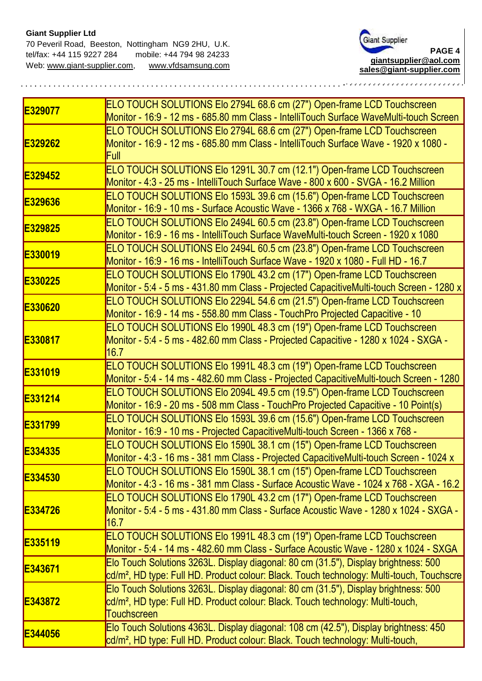

| E329077 | ELO TOUCH SOLUTIONS Elo 2794L 68.6 cm (27") Open-frame LCD Touchscreen<br>Monitor - 16:9 - 12 ms - 685.80 mm Class - IntelliTouch Surface WaveMulti-touch Screen                                  |
|---------|---------------------------------------------------------------------------------------------------------------------------------------------------------------------------------------------------|
| E329262 | ELO TOUCH SOLUTIONS Elo 2794L 68.6 cm (27") Open-frame LCD Touchscreen<br>Monitor - 16:9 - 12 ms - 685.80 mm Class - IntelliTouch Surface Wave - 1920 x 1080 -<br><b>Full</b>                     |
| E329452 | ELO TOUCH SOLUTIONS Elo 1291L 30.7 cm (12.1") Open-frame LCD Touchscreen<br>Monitor - 4:3 - 25 ms - IntelliTouch Surface Wave - 800 x 600 - SVGA - 16.2 Million                                   |
| E329636 | ELO TOUCH SOLUTIONS Elo 1593L 39.6 cm (15.6") Open-frame LCD Touchscreen<br>Monitor - 16:9 - 10 ms - Surface Acoustic Wave - 1366 x 768 - WXGA - 16.7 Million                                     |
| E329825 | ELO TOUCH SOLUTIONS Elo 2494L 60.5 cm (23.8") Open-frame LCD Touchscreen<br>Monitor - 16:9 - 16 ms - IntelliTouch Surface WaveMulti-touch Screen - 1920 x 1080                                    |
| E330019 | ELO TOUCH SOLUTIONS Elo 2494L 60.5 cm (23.8") Open-frame LCD Touchscreen<br>Monitor - 16:9 - 16 ms - IntelliTouch Surface Wave - 1920 x 1080 - Full HD - 16.7                                     |
| E330225 | ELO TOUCH SOLUTIONS Elo 1790L 43.2 cm (17") Open-frame LCD Touchscreen<br>Monitor - 5:4 - 5 ms - 431.80 mm Class - Projected CapacitiveMulti-touch Screen - 1280 x                                |
| E330620 | ELO TOUCH SOLUTIONS Elo 2294L 54.6 cm (21.5") Open-frame LCD Touchscreen<br>Monitor - 16:9 - 14 ms - 558.80 mm Class - TouchPro Projected Capacitive - 10                                         |
| E330817 | ELO TOUCH SOLUTIONS Elo 1990L 48.3 cm (19") Open-frame LCD Touchscreen<br>Monitor - 5:4 - 5 ms - 482.60 mm Class - Projected Capacitive - 1280 x 1024 - SXGA -<br>16.7                            |
| E331019 | ELO TOUCH SOLUTIONS Elo 1991L 48.3 cm (19") Open-frame LCD Touchscreen<br>Monitor - 5:4 - 14 ms - 482.60 mm Class - Projected CapacitiveMulti-touch Screen - 1280                                 |
| E331214 | ELO TOUCH SOLUTIONS Elo 2094L 49.5 cm (19.5") Open-frame LCD Touchscreen<br>Monitor - 16:9 - 20 ms - 508 mm Class - TouchPro Projected Capacitive - 10 Point(s)                                   |
| E331799 | ELO TOUCH SOLUTIONS Elo 1593L 39.6 cm (15.6") Open-frame LCD Touchscreen<br>Monitor - 16:9 - 10 ms - Projected CapacitiveMulti-touch Screen - 1366 x 768 -                                        |
| E334335 | ELO TOUCH SOLUTIONS Elo 1590L 38.1 cm (15") Open-frame LCD Touchscreen<br>Monitor - 4:3 - 16 ms - 381 mm Class - Projected CapacitiveMulti-touch Screen - 1024 x                                  |
| E334530 | ELO TOUCH SOLUTIONS Elo 1590L 38.1 cm (15") Open-frame LCD Touchscreen<br>Monitor - 4:3 - 16 ms - 381 mm Class - Surface Acoustic Wave - 1024 x 768 - XGA - 16.2                                  |
| E334726 | ELO TOUCH SOLUTIONS Elo 1790L 43.2 cm (17") Open-frame LCD Touchscreen<br>Monitor - 5:4 - 5 ms - 431.80 mm Class - Surface Acoustic Wave - 1280 x 1024 - SXGA -<br>l16.7                          |
| E335119 | ELO TOUCH SOLUTIONS Elo 1991L 48.3 cm (19") Open-frame LCD Touchscreen<br>Monitor - 5:4 - 14 ms - 482.60 mm Class - Surface Acoustic Wave - 1280 x 1024 - SXGA                                    |
| E343671 | Elo Touch Solutions 3263L. Display diagonal: 80 cm (31.5"), Display brightness: 500<br>cd/m², HD type: Full HD. Product colour: Black. Touch technology: Multi-touch, Touchscre                   |
| E343872 | Elo Touch Solutions 3263L. Display diagonal: 80 cm (31.5"), Display brightness: 500<br>cd/m <sup>2</sup> , HD type: Full HD. Product colour: Black. Touch technology: Multi-touch,<br>Touchscreen |
| E344056 | Elo Touch Solutions 4363L. Display diagonal: 108 cm (42.5"), Display brightness: 450<br>cd/m <sup>2</sup> , HD type: Full HD. Product colour: Black. Touch technology: Multi-touch,               |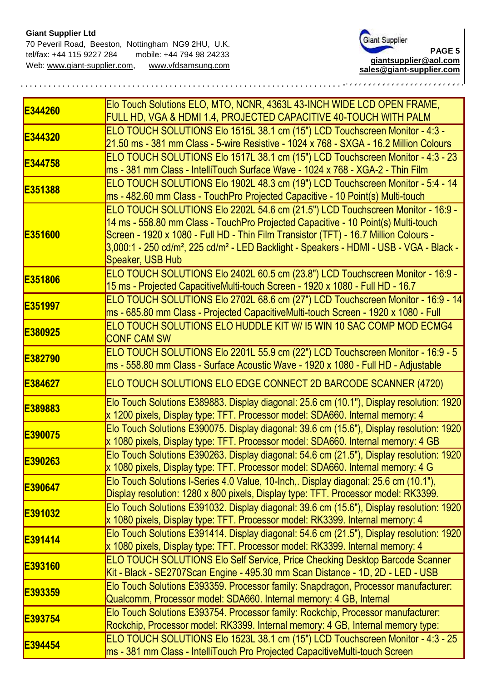

| E344260 | Elo Touch Solutions ELO, MTO, NCNR, 4363L 43-INCH WIDE LCD OPEN FRAME,<br>FULL HD, VGA & HDMI 1.4, PROJECTED CAPACITIVE 40-TOUCH WITH PALM                                                                                                                                                                                                                                                         |
|---------|----------------------------------------------------------------------------------------------------------------------------------------------------------------------------------------------------------------------------------------------------------------------------------------------------------------------------------------------------------------------------------------------------|
| E344320 | ELO TOUCH SOLUTIONS Elo 1515L 38.1 cm (15") LCD Touchscreen Monitor - 4:3 -<br>21.50 ms - 381 mm Class - 5-wire Resistive - 1024 x 768 - SXGA - 16.2 Million Colours                                                                                                                                                                                                                               |
| E344758 | ELO TOUCH SOLUTIONS Elo 1517L 38.1 cm (15") LCD Touchscreen Monitor - 4:3 - 23<br>ms - 381 mm Class - IntelliTouch Surface Wave - 1024 x 768 - XGA-2 - Thin Film                                                                                                                                                                                                                                   |
| E351388 | ELO TOUCH SOLUTIONS Elo 1902L 48.3 cm (19") LCD Touchscreen Monitor - 5:4 - 14<br>ms - 482.60 mm Class - TouchPro Projected Capacitive - 10 Point(s) Multi-touch                                                                                                                                                                                                                                   |
| E351600 | ELO TOUCH SOLUTIONS Elo 2202L 54.6 cm (21.5") LCD Touchscreen Monitor - 16:9 -<br>14 ms - 558.80 mm Class - TouchPro Projected Capacitive - 10 Point(s) Multi-touch<br>Screen - 1920 x 1080 - Full HD - Thin Film Transistor (TFT) - 16.7 Million Colours -<br>3,000:1 - 250 cd/m <sup>2</sup> , 225 cd/m <sup>2</sup> - LED Backlight - Speakers - HDMI - USB - VGA - Black -<br>Speaker, USB Hub |
| E351806 | ELO TOUCH SOLUTIONS Elo 2402L 60.5 cm (23.8") LCD Touchscreen Monitor - 16:9 -<br>15 ms - Projected CapacitiveMulti-touch Screen - 1920 x 1080 - Full HD - 16.7                                                                                                                                                                                                                                    |
| E351997 | ELO TOUCH SOLUTIONS Elo 2702L 68.6 cm (27") LCD Touchscreen Monitor - 16:9 - 14<br>ms - 685.80 mm Class - Projected CapacitiveMulti-touch Screen - 1920 x 1080 - Full                                                                                                                                                                                                                              |
| E380925 | ELO TOUCH SOLUTIONS ELO HUDDLE KIT W/ 15 WIN 10 SAC COMP MOD ECMG4<br><b>CONF CAM SW</b>                                                                                                                                                                                                                                                                                                           |
| E382790 | ELO TOUCH SOLUTIONS Elo 2201L 55.9 cm (22") LCD Touchscreen Monitor - 16:9 - 5<br>ms - 558.80 mm Class - Surface Acoustic Wave - 1920 x 1080 - Full HD - Adjustable                                                                                                                                                                                                                                |
| E384627 | ELO TOUCH SOLUTIONS ELO EDGE CONNECT 2D BARCODE SCANNER (4720)                                                                                                                                                                                                                                                                                                                                     |
| E389883 | Elo Touch Solutions E389883. Display diagonal: 25.6 cm (10.1"), Display resolution: 1920<br>x 1200 pixels, Display type: TFT. Processor model: SDA660. Internal memory: 4                                                                                                                                                                                                                          |
| E390075 | Elo Touch Solutions E390075. Display diagonal: 39.6 cm (15.6"), Display resolution: 1920<br>x 1080 pixels, Display type: TFT. Processor model: SDA660. Internal memory: 4 GB                                                                                                                                                                                                                       |
| E390263 | Elo Touch Solutions E390263. Display diagonal: 54.6 cm (21.5"), Display resolution: 1920<br>x 1080 pixels, Display type: TFT. Processor model: SDA660. Internal memory: 4 G                                                                                                                                                                                                                        |
| E390647 | Elo Touch Solutions I-Series 4.0 Value, 10-Inch,. Display diagonal: 25.6 cm (10.1"),<br>Display resolution: 1280 x 800 pixels, Display type: TFT. Processor model: RK3399.                                                                                                                                                                                                                         |
| E391032 | Elo Touch Solutions E391032. Display diagonal: 39.6 cm (15.6"), Display resolution: 1920<br>x 1080 pixels, Display type: TFT. Processor model: RK3399. Internal memory: 4                                                                                                                                                                                                                          |
| E391414 | Elo Touch Solutions E391414. Display diagonal: 54.6 cm (21.5"), Display resolution: 1920<br>x 1080 pixels, Display type: TFT. Processor model: RK3399. Internal memory: 4                                                                                                                                                                                                                          |
| E393160 | <b>ELO TOUCH SOLUTIONS Elo Self Service, Price Checking Desktop Barcode Scanner</b><br>Kit - Black - SE2707Scan Engine - 495.30 mm Scan Distance - 1D, 2D - LED - USB                                                                                                                                                                                                                              |
| E393359 | Elo Touch Solutions E393359. Processor family: Snapdragon, Processor manufacturer:<br>Qualcomm, Processor model: SDA660. Internal memory: 4 GB, Internal                                                                                                                                                                                                                                           |
| E393754 | Elo Touch Solutions E393754. Processor family: Rockchip, Processor manufacturer:<br>Rockchip, Processor model: RK3399. Internal memory: 4 GB, Internal memory type:                                                                                                                                                                                                                                |
| E394454 | ELO TOUCH SOLUTIONS Elo 1523L 38.1 cm (15") LCD Touchscreen Monitor - 4:3 - 25<br>ms - 381 mm Class - IntelliTouch Pro Projected CapacitiveMulti-touch Screen                                                                                                                                                                                                                                      |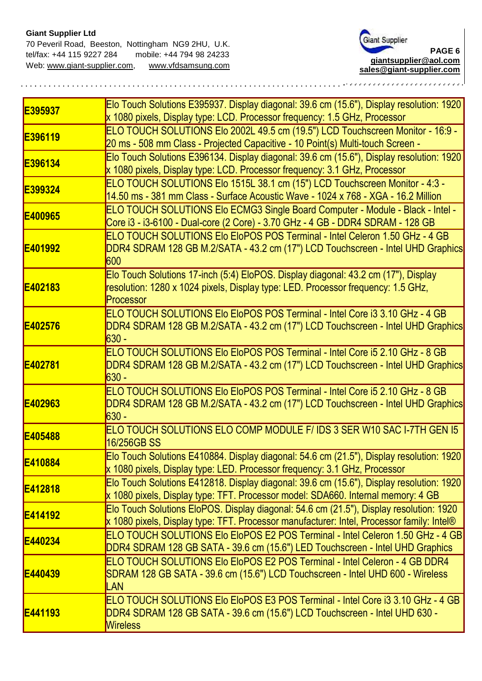

| E395937        | Elo Touch Solutions E395937. Display diagonal: 39.6 cm (15.6"), Display resolution: 1920<br>x 1080 pixels, Display type: LCD. Processor frequency: 1.5 GHz, Processor                |
|----------------|--------------------------------------------------------------------------------------------------------------------------------------------------------------------------------------|
| E396119        | ELO TOUCH SOLUTIONS Elo 2002L 49.5 cm (19.5") LCD Touchscreen Monitor - 16:9 -<br>20 ms - 508 mm Class - Projected Capacitive - 10 Point(s) Multi-touch Screen -                     |
| E396134        | Elo Touch Solutions E396134. Display diagonal: 39.6 cm (15.6"), Display resolution: 1920<br>x 1080 pixels, Display type: LCD. Processor frequency: 3.1 GHz, Processor                |
| E399324        | ELO TOUCH SOLUTIONS Elo 1515L 38.1 cm (15") LCD Touchscreen Monitor - 4:3 -<br>14.50 ms - 381 mm Class - Surface Acoustic Wave - 1024 x 768 - XGA - 16.2 Million                     |
| E400965        | ELO TOUCH SOLUTIONS Elo ECMG3 Single Board Computer - Module - Black - Intel -<br>Core i3 - i3-6100 - Dual-core (2 Core) - 3.70 GHz - 4 GB - DDR4 SDRAM - 128 GB                     |
| <b>E401992</b> | ELO TOUCH SOLUTIONS Elo EloPOS POS Terminal - Intel Celeron 1.50 GHz - 4 GB<br>DDR4 SDRAM 128 GB M.2/SATA - 43.2 cm (17") LCD Touchscreen - Intel UHD Graphics<br>600                |
| E402183        | Elo Touch Solutions 17-inch (5:4) EloPOS. Display diagonal: 43.2 cm (17"), Display<br>resolution: 1280 x 1024 pixels, Display type: LED. Processor frequency: 1.5 GHz,<br>Processor  |
| <b>E402576</b> | ELO TOUCH SOLUTIONS Elo EloPOS POS Terminal - Intel Core i3 3.10 GHz - 4 GB<br>DDR4 SDRAM 128 GB M.2/SATA - 43.2 cm (17") LCD Touchscreen - Intel UHD Graphics<br><b>630 -</b>       |
| E402781        | ELO TOUCH SOLUTIONS Elo EloPOS POS Terminal - Intel Core i5 2.10 GHz - 8 GB<br>DDR4 SDRAM 128 GB M.2/SATA - 43.2 cm (17") LCD Touchscreen - Intel UHD Graphics<br><b>630 -</b>       |
| E402963        | ELO TOUCH SOLUTIONS Elo EloPOS POS Terminal - Intel Core i5 2.10 GHz - 8 GB<br>DDR4 SDRAM 128 GB M.2/SATA - 43.2 cm (17") LCD Touchscreen - Intel UHD Graphics<br><b>630 -</b>       |
| E405488        | ELO TOUCH SOLUTIONS ELO COMP MODULE F/ IDS 3 SER W10 SAC I-7TH GEN 15<br>16/256GB SS                                                                                                 |
| E410884        | Elo Touch Solutions E410884. Display diagonal: 54.6 cm (21.5"), Display resolution: 1920<br>x 1080 pixels, Display type: LED. Processor frequency: 3.1 GHz, Processor                |
| <b>E412818</b> | Elo Touch Solutions E412818. Display diagonal: 39.6 cm (15.6"), Display resolution: 1920<br>x 1080 pixels, Display type: TFT. Processor model: SDA660. Internal memory: 4 GB         |
| E414192        | Elo Touch Solutions EloPOS. Display diagonal: 54.6 cm (21.5"), Display resolution: 1920<br>x 1080 pixels, Display type: TFT. Processor manufacturer: Intel, Processor family: Intel® |
| <b>E440234</b> | ELO TOUCH SOLUTIONS Elo EloPOS E2 POS Terminal - Intel Celeron 1.50 GHz - 4 GB<br>DDR4 SDRAM 128 GB SATA - 39.6 cm (15.6") LED Touchscreen - Intel UHD Graphics                      |
| <b>E440439</b> | ELO TOUCH SOLUTIONS Elo EloPOS E2 POS Terminal - Intel Celeron - 4 GB DDR4<br>SDRAM 128 GB SATA - 39.6 cm (15.6") LCD Touchscreen - Intel UHD 600 - Wireless<br>LAN                  |
| E441193        | ELO TOUCH SOLUTIONS Elo EloPOS E3 POS Terminal - Intel Core i3 3.10 GHz - 4 GB<br>DDR4 SDRAM 128 GB SATA - 39.6 cm (15.6") LCD Touchscreen - Intel UHD 630 -<br><b>Wireless</b>      |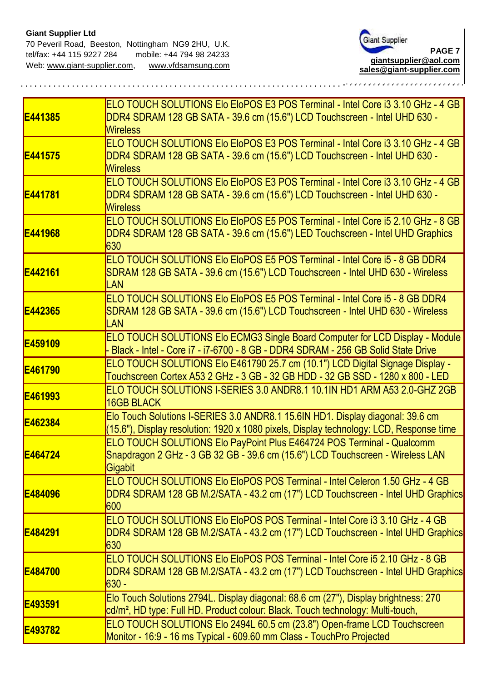

| E441385        | ELO TOUCH SOLUTIONS EIO EIOPOS E3 POS Terminal - Intel Core i3 3.10 GHz - 4 GB<br>DDR4 SDRAM 128 GB SATA - 39.6 cm (15.6") LCD Touchscreen - Intel UHD 630 -<br><b>Wireless</b>       |
|----------------|---------------------------------------------------------------------------------------------------------------------------------------------------------------------------------------|
| E441575        | ELO TOUCH SOLUTIONS Elo EloPOS E3 POS Terminal - Intel Core i3 3.10 GHz - 4 GB<br>DDR4 SDRAM 128 GB SATA - 39.6 cm (15.6") LCD Touchscreen - Intel UHD 630 -<br><b>Wireless</b>       |
| <b>E441781</b> | ELO TOUCH SOLUTIONS EIO EIOPOS E3 POS Terminal - Intel Core i3 3.10 GHz - 4 GB<br>DDR4 SDRAM 128 GB SATA - 39.6 cm (15.6") LCD Touchscreen - Intel UHD 630 -<br><b>Wireless</b>       |
| E441968        | ELO TOUCH SOLUTIONS EIo EIoPOS E5 POS Terminal - Intel Core i5 2.10 GHz - 8 GB<br>DDR4 SDRAM 128 GB SATA - 39.6 cm (15.6") LED Touchscreen - Intel UHD Graphics<br>630                |
| E442161        | ELO TOUCH SOLUTIONS Elo EloPOS E5 POS Terminal - Intel Core i5 - 8 GB DDR4<br>SDRAM 128 GB SATA - 39.6 cm (15.6") LCD Touchscreen - Intel UHD 630 - Wireless<br>LAN                   |
| E442365        | ELO TOUCH SOLUTIONS Elo EloPOS E5 POS Terminal - Intel Core i5 - 8 GB DDR4<br>SDRAM 128 GB SATA - 39.6 cm (15.6") LCD Touchscreen - Intel UHD 630 - Wireless<br>LAN                   |
| E459109        | ELO TOUCH SOLUTIONS EIO ECMG3 Single Board Computer for LCD Display - Module<br>- Black - Intel - Core i7 - i7-6700 - 8 GB - DDR4 SDRAM - 256 GB Solid State Drive                    |
| E461790        | ELO TOUCH SOLUTIONS Elo E461790 25.7 cm (10.1") LCD Digital Signage Display -<br>Touchscreen Cortex A53 2 GHz - 3 GB - 32 GB HDD - 32 GB SSD - 1280 x 800 - LED                       |
| E461993        | ELO TOUCH SOLUTIONS I-SERIES 3.0 ANDR8.1 10.1IN HD1 ARM A53 2.0-GHZ 2GB<br><b>16GB BLACK</b>                                                                                          |
| E462384        | Elo Touch Solutions I-SERIES 3.0 ANDR8.1 15.6IN HD1. Display diagonal: 39.6 cm<br>(15.6"), Display resolution: 1920 x 1080 pixels, Display technology: LCD, Response time             |
| E464724        | ELO TOUCH SOLUTIONS Elo PayPoint Plus E464724 POS Terminal - Qualcomm<br>Snapdragon 2 GHz - 3 GB 32 GB - 39.6 cm (15.6") LCD Touchscreen - Wireless LAN<br>Gigabit                    |
| E484096        | <b>IELO TOUCH SOLUTIONS Elo EloPOS POS Terminal - Intel Celeron 1.50 GHz - 4 GB</b><br>DDR4 SDRAM 128 GB M.2/SATA - 43.2 cm (17") LCD Touchscreen - Intel UHD Graphics<br>600         |
| E484291        | <b>ELO TOUCH SOLUTIONS EIO EIOPOS POS Terminal - Intel Core i3 3.10 GHz - 4 GB</b><br>DDR4 SDRAM 128 GB M.2/SATA - 43.2 cm (17") LCD Touchscreen - Intel UHD Graphics<br>630          |
| E484700        | <b>ELO TOUCH SOLUTIONS EIO EIOPOS POS Terminal - Intel Core i5 2.10 GHz - 8 GB</b><br>DDR4 SDRAM 128 GB M.2/SATA - 43.2 cm (17") LCD Touchscreen - Intel UHD Graphics<br><b>630 -</b> |
| E493591        | Elo Touch Solutions 2794L. Display diagonal: 68.6 cm (27"), Display brightness: 270<br>cd/m <sup>2</sup> , HD type: Full HD. Product colour: Black. Touch technology: Multi-touch,    |
| E493782        | ELO TOUCH SOLUTIONS Elo 2494L 60.5 cm (23.8") Open-frame LCD Touchscreen<br>Monitor - 16:9 - 16 ms Typical - 609.60 mm Class - TouchPro Projected                                     |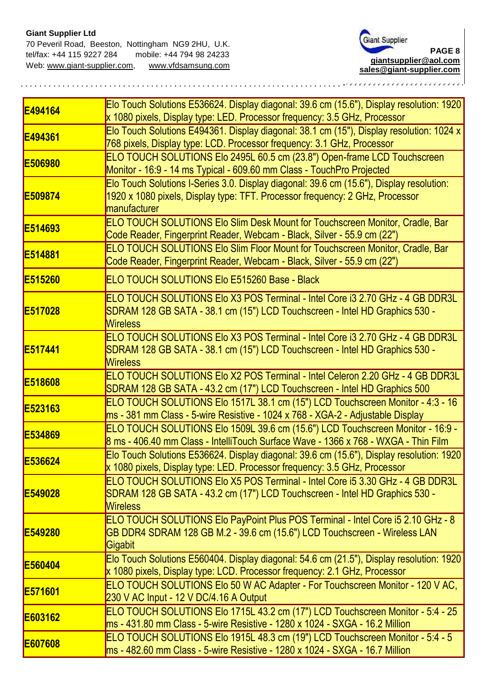## **Giant Supplier Ltd**

70 Peveril Road, Beeston, Nottingham NG9 2HU, U.K. tel/fax: +44 115 9227 284mobile: +44 794 98 24233 Web: [www.giant-supplier.com,](http://www.giant-supplier.com/) www.vfdsamsung.com



| E494164         | Elo Touch Solutions E536624. Display diagonal: 39.6 cm (15.6"), Display resolution: 1920<br>x 1080 pixels, Display type: LED. Processor frequency: 3.5 GHz, Processor                    |
|-----------------|------------------------------------------------------------------------------------------------------------------------------------------------------------------------------------------|
| E494361         | Elo Touch Solutions E494361. Display diagonal: 38.1 cm (15"), Display resolution: 1024 x<br>768 pixels, Display type: LCD. Processor frequency: 3.1 GHz, Processor                       |
| <b>IE506980</b> | ELO TOUCH SOLUTIONS Elo 2495L 60.5 cm (23.8") Open-frame LCD Touchscreen<br>Monitor - 16:9 - 14 ms Typical - 609.60 mm Class - TouchPro Projected                                        |
| E509874         | Elo Touch Solutions I-Series 3.0. Display diagonal: 39.6 cm (15.6"), Display resolution:<br>1920 x 1080 pixels, Display type: TFT. Processor frequency: 2 GHz, Processor<br>manufacturer |
| E514693         | <b>ELO TOUCH SOLUTIONS Elo Slim Desk Mount for Touchscreen Monitor, Cradle, Bar</b><br>Code Reader, Fingerprint Reader, Webcam - Black, Silver - 55.9 cm (22")                           |
| E514881         | ELO TOUCH SOLUTIONS Elo Slim Floor Mount for Touchscreen Monitor, Cradle, Bar<br>Code Reader, Fingerprint Reader, Webcam - Black, Silver - 55.9 cm (22")                                 |
| E515260         | ELO TOUCH SOLUTIONS EIO E515260 Base - Black                                                                                                                                             |
| E517028         | ELO TOUCH SOLUTIONS Elo X3 POS Terminal - Intel Core i3 2.70 GHz - 4 GB DDR3L<br>SDRAM 128 GB SATA - 38.1 cm (15") LCD Touchscreen - Intel HD Graphics 530 -<br><b>Wireless</b>          |
| E517441         | ELO TOUCH SOLUTIONS Elo X3 POS Terminal - Intel Core i3 2.70 GHz - 4 GB DDR3L<br>SDRAM 128 GB SATA - 38.1 cm (15") LCD Touchscreen - Intel HD Graphics 530 -<br><b>Wireless</b>          |
| E518608         | ELO TOUCH SOLUTIONS Elo X2 POS Terminal - Intel Celeron 2.20 GHz - 4 GB DDR3L<br>SDRAM 128 GB SATA - 43.2 cm (17") LCD Touchscreen - Intel HD Graphics 500                               |
| E523163         | ELO TOUCH SOLUTIONS Elo 1517L 38.1 cm (15") LCD Touchscreen Monitor - 4:3 - 16<br>ms - 381 mm Class - 5-wire Resistive - 1024 x 768 - XGA-2 - Adjustable Display                         |
| E534869         | ELO TOUCH SOLUTIONS Elo 1509L 39.6 cm (15.6") LCD Touchscreen Monitor - 16:9 -<br>8 ms - 406.40 mm Class - IntelliTouch Surface Wave - 1366 x 768 - WXGA - Thin Film                     |
| E536624         | Elo Touch Solutions E536624. Display diagonal: 39.6 cm (15.6"), Display resolution: 1920<br>x 1080 pixels, Display type: LED. Processor frequency: 3.5 GHz, Processor                    |
| <b>E549028</b>  | ELO TOUCH SOLUTIONS Elo X5 POS Terminal - Intel Core i5 3.30 GHz - 4 GB DDR3L<br>SDRAM 128 GB SATA - 43.2 cm (17") LCD Touchscreen - Intel HD Graphics 530 -<br><b>Wireless</b>          |
| <b>E549280</b>  | ELO TOUCH SOLUTIONS Elo PayPoint Plus POS Terminal - Intel Core i5 2.10 GHz - 8<br>GB DDR4 SDRAM 128 GB M.2 - 39.6 cm (15.6") LCD Touchscreen - Wireless LAN<br>Gigabit                  |
| E560404         | Elo Touch Solutions E560404. Display diagonal: 54.6 cm (21.5"), Display resolution: 1920<br>x 1080 pixels, Display type: LCD. Processor frequency: 2.1 GHz, Processor                    |
| <b>IE571601</b> | ELO TOUCH SOLUTIONS Elo 50 W AC Adapter - For Touchscreen Monitor - 120 V AC,<br>230 V AC Input - 12 V DC/4.16 A Output                                                                  |
| E603162         | ELO TOUCH SOLUTIONS Elo 1715L 43.2 cm (17") LCD Touchscreen Monitor - 5:4 - 25<br>ms - 431.80 mm Class - 5-wire Resistive - 1280 x 1024 - SXGA - 16.2 Million                            |
| E607608         | ELO TOUCH SOLUTIONS Elo 1915L 48.3 cm (19") LCD Touchscreen Monitor - 5:4 - 5<br>ms - 482.60 mm Class - 5-wire Resistive - 1280 x 1024 - SXGA - 16.7 Million                             |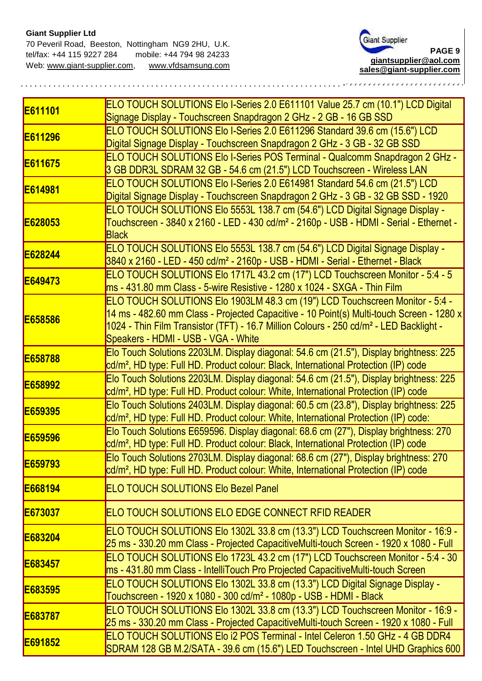

| E611101 | ELO TOUCH SOLUTIONS Elo I-Series 2.0 E611101 Value 25.7 cm (10.1") LCD Digital<br>Signage Display - Touchscreen Snapdragon 2 GHz - 2 GB - 16 GB SSD                                                                                                                                                                   |
|---------|-----------------------------------------------------------------------------------------------------------------------------------------------------------------------------------------------------------------------------------------------------------------------------------------------------------------------|
| E611296 | ELO TOUCH SOLUTIONS Elo I-Series 2.0 E611296 Standard 39.6 cm (15.6") LCD<br>Digital Signage Display - Touchscreen Snapdragon 2 GHz - 3 GB - 32 GB SSD                                                                                                                                                                |
| E611675 | ELO TOUCH SOLUTIONS Elo I-Series POS Terminal - Qualcomm Snapdragon 2 GHz -<br>3 GB DDR3L SDRAM 32 GB - 54.6 cm (21.5") LCD Touchscreen - Wireless LAN                                                                                                                                                                |
| E614981 | ELO TOUCH SOLUTIONS Elo I-Series 2.0 E614981 Standard 54.6 cm (21.5") LCD<br>Digital Signage Display - Touchscreen Snapdragon 2 GHz - 3 GB - 32 GB SSD - 1920                                                                                                                                                         |
| E628053 | ELO TOUCH SOLUTIONS Elo 5553L 138.7 cm (54.6") LCD Digital Signage Display -<br>Touchscreen - 3840 x 2160 - LED - 430 cd/m <sup>2</sup> - 2160p - USB - HDMI - Serial - Ethernet -<br><b>Black</b>                                                                                                                    |
| E628244 | ELO TOUCH SOLUTIONS Elo 5553L 138.7 cm (54.6") LCD Digital Signage Display -<br>3840 x 2160 - LED - 450 cd/m <sup>2</sup> - 2160p - USB - HDMI - Serial - Ethernet - Black                                                                                                                                            |
| E649473 | ELO TOUCH SOLUTIONS Elo 1717L 43.2 cm (17") LCD Touchscreen Monitor - 5:4 - 5<br>ms - 431.80 mm Class - 5-wire Resistive - 1280 x 1024 - SXGA - Thin Film                                                                                                                                                             |
| E658586 | ELO TOUCH SOLUTIONS Elo 1903LM 48.3 cm (19") LCD Touchscreen Monitor - 5:4 -<br>14 ms - 482.60 mm Class - Projected Capacitive - 10 Point(s) Multi-touch Screen - 1280 x<br>1024 - Thin Film Transistor (TFT) - 16.7 Million Colours - 250 cd/m <sup>2</sup> - LED Backlight -<br>Speakers - HDMI - USB - VGA - White |
| E658788 | Elo Touch Solutions 2203LM. Display diagonal: 54.6 cm (21.5"), Display brightness: 225<br>cd/m <sup>2</sup> , HD type: Full HD. Product colour: Black, International Protection (IP) code                                                                                                                             |
| E658992 | Elo Touch Solutions 2203LM. Display diagonal: 54.6 cm (21.5"), Display brightness: 225<br>cd/m <sup>2</sup> , HD type: Full HD. Product colour: White, International Protection (IP) code                                                                                                                             |
| E659395 | Elo Touch Solutions 2403LM. Display diagonal: 60.5 cm (23.8"), Display brightness: 225<br>cd/m <sup>2</sup> , HD type: Full HD. Product colour: White, International Protection (IP) code:                                                                                                                            |
| E659596 | Elo Touch Solutions E659596. Display diagonal: 68.6 cm (27"), Display brightness: 270<br>cd/m <sup>2</sup> , HD type: Full HD. Product colour: Black, International Protection (IP) code                                                                                                                              |
| E659793 | Elo Touch Solutions 2703LM. Display diagonal: 68.6 cm (27"), Display brightness: 270<br>cd/m <sup>2</sup> , HD type: Full HD. Product colour: White, International Protection (IP) code                                                                                                                               |
| E668194 | <b>ELO TOUCH SOLUTIONS Elo Bezel Panel</b>                                                                                                                                                                                                                                                                            |
| E673037 | ELO TOUCH SOLUTIONS ELO EDGE CONNECT RFID READER                                                                                                                                                                                                                                                                      |
| E683204 | ELO TOUCH SOLUTIONS Elo 1302L 33.8 cm (13.3") LCD Touchscreen Monitor - 16:9 -<br>25 ms - 330.20 mm Class - Projected CapacitiveMulti-touch Screen - 1920 x 1080 - Full                                                                                                                                               |
| E683457 | ELO TOUCH SOLUTIONS Elo 1723L 43.2 cm (17") LCD Touchscreen Monitor - 5:4 - 30<br>ms - 431.80 mm Class - IntelliTouch Pro Projected CapacitiveMulti-touch Screen                                                                                                                                                      |
| E683595 | ELO TOUCH SOLUTIONS Elo 1302L 33.8 cm (13.3") LCD Digital Signage Display -<br>Touchscreen - 1920 x 1080 - 300 cd/m <sup>2</sup> - 1080p - USB - HDMI - Black                                                                                                                                                         |
| E683787 | ELO TOUCH SOLUTIONS Elo 1302L 33.8 cm (13.3") LCD Touchscreen Monitor - 16:9 -<br>25 ms - 330.20 mm Class - Projected CapacitiveMulti-touch Screen - 1920 x 1080 - Full                                                                                                                                               |
| E691852 | ELO TOUCH SOLUTIONS Elo i2 POS Terminal - Intel Celeron 1.50 GHz - 4 GB DDR4<br>SDRAM 128 GB M.2/SATA - 39.6 cm (15.6") LED Touchscreen - Intel UHD Graphics 600                                                                                                                                                      |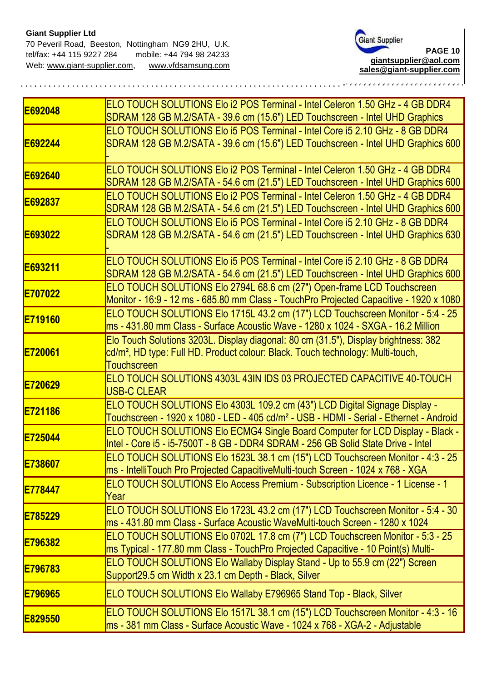

| E692048        | ELO TOUCH SOLUTIONS Elo i2 POS Terminal - Intel Celeron 1.50 GHz - 4 GB DDR4<br>SDRAM 128 GB M.2/SATA - 39.6 cm (15.6") LED Touchscreen - Intel UHD Graphics                                             |
|----------------|----------------------------------------------------------------------------------------------------------------------------------------------------------------------------------------------------------|
| E692244        | ELO TOUCH SOLUTIONS Elo i5 POS Terminal - Intel Core i5 2.10 GHz - 8 GB DDR4<br>SDRAM 128 GB M.2/SATA - 39.6 cm (15.6") LED Touchscreen - Intel UHD Graphics 600                                         |
| E692640        | ELO TOUCH SOLUTIONS Elo i2 POS Terminal - Intel Celeron 1.50 GHz - 4 GB DDR4<br>SDRAM 128 GB M.2/SATA - 54.6 cm (21.5") LED Touchscreen - Intel UHD Graphics 600                                         |
| E692837        | ELO TOUCH SOLUTIONS Elo i2 POS Terminal - Intel Celeron 1.50 GHz - 4 GB DDR4<br>SDRAM 128 GB M.2/SATA - 54.6 cm (21.5") LED Touchscreen - Intel UHD Graphics 600                                         |
| E693022        | ELO TOUCH SOLUTIONS Elo i5 POS Terminal - Intel Core i5 2.10 GHz - 8 GB DDR4<br>SDRAM 128 GB M.2/SATA - 54.6 cm (21.5") LED Touchscreen - Intel UHD Graphics 630                                         |
| E693211        | ELO TOUCH SOLUTIONS Elo i5 POS Terminal - Intel Core i5 2.10 GHz - 8 GB DDR4<br>SDRAM 128 GB M.2/SATA - 54.6 cm (21.5") LED Touchscreen - Intel UHD Graphics 600                                         |
| E707022        | ELO TOUCH SOLUTIONS Elo 2794L 68.6 cm (27") Open-frame LCD Touchscreen<br>Monitor - 16:9 - 12 ms - 685.80 mm Class - TouchPro Projected Capacitive - 1920 x 1080                                         |
| <b>E719160</b> | ELO TOUCH SOLUTIONS Elo 1715L 43.2 cm (17") LCD Touchscreen Monitor - 5:4 - 25<br>ms - 431.80 mm Class - Surface Acoustic Wave - 1280 x 1024 - SXGA - 16.2 Million                                       |
| E720061        | Elo Touch Solutions 3203L. Display diagonal: 80 cm (31.5"), Display brightness: 382<br>cd/m <sup>2</sup> , HD type: Full HD. Product colour: Black. Touch technology: Multi-touch,<br><b>Touchscreen</b> |
| E720629        | ELO TOUCH SOLUTIONS 4303L 43IN IDS 03 PROJECTED CAPACITIVE 40-TOUCH<br><b>USB-C CLEAR</b>                                                                                                                |
| E721186        | ELO TOUCH SOLUTIONS Elo 4303L 109.2 cm (43") LCD Digital Signage Display -<br>Touchscreen - 1920 x 1080 - LED - 405 cd/m <sup>2</sup> - USB - HDMI - Serial - Ethernet - Android                         |
| E725044        | ELO TOUCH SOLUTIONS Elo ECMG4 Single Board Computer for LCD Display - Black -<br>Intel - Core i5 - i5-7500T - 8 GB - DDR4 SDRAM - 256 GB Solid State Drive - Intel                                       |
| E738607        | ELO TOUCH SOLUTIONS Elo 1523L 38.1 cm (15") LCD Touchscreen Monitor - 4:3 - 25<br>ms - IntelliTouch Pro Projected CapacitiveMulti-touch Screen - 1024 x 768 - XGA                                        |
| <b>E778447</b> | ELO TOUCH SOLUTIONS Elo Access Premium - Subscription Licence - 1 License - 1<br>Year                                                                                                                    |
| E785229        | ELO TOUCH SOLUTIONS Elo 1723L 43.2 cm (17") LCD Touchscreen Monitor - 5:4 - 30<br>ms - 431.80 mm Class - Surface Acoustic WaveMulti-touch Screen - 1280 x 1024                                           |
| <b>E796382</b> | ELO TOUCH SOLUTIONS Elo 0702L 17.8 cm (7") LCD Touchscreen Monitor - 5:3 - 25<br>ms Typical - 177.80 mm Class - TouchPro Projected Capacitive - 10 Point(s) Multi-                                       |
| E796783        | ELO TOUCH SOLUTIONS Elo Wallaby Display Stand - Up to 55.9 cm (22") Screen<br>Support29.5 cm Width x 23.1 cm Depth - Black, Silver                                                                       |
| E796965        | ELO TOUCH SOLUTIONS Elo Wallaby E796965 Stand Top - Black, Silver                                                                                                                                        |
| E829550        | ELO TOUCH SOLUTIONS Elo 1517L 38.1 cm (15") LCD Touchscreen Monitor - 4:3 - 16<br>ms - 381 mm Class - Surface Acoustic Wave - 1024 x 768 - XGA-2 - Adjustable                                            |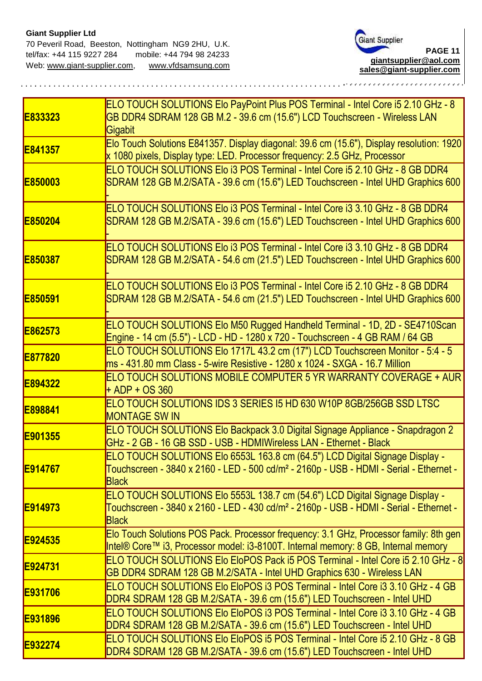

| E833323         | ELO TOUCH SOLUTIONS Elo PayPoint Plus POS Terminal - Intel Core i5 2.10 GHz - 8<br>GB DDR4 SDRAM 128 GB M.2 - 39.6 cm (15.6") LCD Touchscreen - Wireless LAN<br>Gigabit                            |
|-----------------|----------------------------------------------------------------------------------------------------------------------------------------------------------------------------------------------------|
| E841357         | Elo Touch Solutions E841357. Display diagonal: 39.6 cm (15.6"), Display resolution: 1920<br>x 1080 pixels, Display type: LED. Processor frequency: 2.5 GHz, Processor                              |
| <b>E850003</b>  | ELO TOUCH SOLUTIONS Elo i3 POS Terminal - Intel Core i5 2.10 GHz - 8 GB DDR4<br>SDRAM 128 GB M.2/SATA - 39.6 cm (15.6") LED Touchscreen - Intel UHD Graphics 600                                   |
| <b>E850204</b>  | ELO TOUCH SOLUTIONS Elo i3 POS Terminal - Intel Core i3 3.10 GHz - 8 GB DDR4<br>SDRAM 128 GB M.2/SATA - 39.6 cm (15.6") LED Touchscreen - Intel UHD Graphics 600                                   |
| E850387         | ELO TOUCH SOLUTIONS Elo i3 POS Terminal - Intel Core i3 3.10 GHz - 8 GB DDR4<br>SDRAM 128 GB M.2/SATA - 54.6 cm (21.5") LED Touchscreen - Intel UHD Graphics 600                                   |
| E850591         | ELO TOUCH SOLUTIONS Elo i3 POS Terminal - Intel Core i5 2.10 GHz - 8 GB DDR4<br>SDRAM 128 GB M.2/SATA - 54.6 cm (21.5") LED Touchscreen - Intel UHD Graphics 600                                   |
| E862573         | ELO TOUCH SOLUTIONS Elo M50 Rugged Handheld Terminal - 1D, 2D - SE4710Scan<br>Engine - 14 cm (5.5") - LCD - HD - 1280 x 720 - Touchscreen - 4 GB RAM / 64 GB                                       |
| <b>E877820</b>  | ELO TOUCH SOLUTIONS Elo 1717L 43.2 cm (17") LCD Touchscreen Monitor - 5:4 - 5<br>ms - 431.80 mm Class - 5-wire Resistive - 1280 x 1024 - SXGA - 16.7 Million                                       |
| E894322         | ELO TOUCH SOLUTIONS MOBILE COMPUTER 5 YR WARRANTY COVERAGE + AUR<br>$+$ ADP + OS 360                                                                                                               |
| E898841         | ELO TOUCH SOLUTIONS IDS 3 SERIES 15 HD 630 W10P 8GB/256GB SSD LTSC<br><b>MONTAGE SW IN</b>                                                                                                         |
| E901355         | ELO TOUCH SOLUTIONS Elo Backpack 3.0 Digital Signage Appliance - Snapdragon 2<br>GHz - 2 GB - 16 GB SSD - USB - HDMIWireless LAN - Ethernet - Black                                                |
| <b>IE914767</b> | ELO TOUCH SOLUTIONS Elo 6553L 163.8 cm (64.5") LCD Digital Signage Display -<br>Touchscreen - 3840 x 2160 - LED - 500 cd/m <sup>2</sup> - 2160p - USB - HDMI - Serial - Ethernet -<br><b>Black</b> |
| <b>E914973</b>  | ELO TOUCH SOLUTIONS Elo 5553L 138.7 cm (54.6") LCD Digital Signage Display -<br>Touchscreen - 3840 x 2160 - LED - 430 cd/m <sup>2</sup> - 2160p - USB - HDMI - Serial - Ethernet -<br><b>Black</b> |
| E924535         | Elo Touch Solutions POS Pack. Processor frequency: 3.1 GHz, Processor family: 8th gen<br>Intel® Core™ i3, Processor model: i3-8100T. Internal memory: 8 GB, Internal memory                        |
| <b>E924731</b>  | ELO TOUCH SOLUTIONS Elo EloPOS Pack i5 POS Terminal - Intel Core i5 2.10 GHz - 8<br>GB DDR4 SDRAM 128 GB M.2/SATA - Intel UHD Graphics 630 - Wireless LAN                                          |
| <b>E931706</b>  | ELO TOUCH SOLUTIONS Elo EloPOS i3 POS Terminal - Intel Core i3 3.10 GHz - 4 GB<br>DDR4 SDRAM 128 GB M.2/SATA - 39.6 cm (15.6") LED Touchscreen - Intel UHD                                         |
| <b>E931896</b>  | IELO TOUCH SOLUTIONS Elo EloPOS i3 POS Terminal - Intel Core i3 3.10 GHz - 4 GB<br>DDR4 SDRAM 128 GB M.2/SATA - 39.6 cm (15.6") LED Touchscreen - Intel UHD                                        |
| E932274         | ELO TOUCH SOLUTIONS Elo EloPOS i5 POS Terminal - Intel Core i5 2.10 GHz - 8 GB<br>DDR4 SDRAM 128 GB M.2/SATA - 39.6 cm (15.6") LED Touchscreen - Intel UHD                                         |